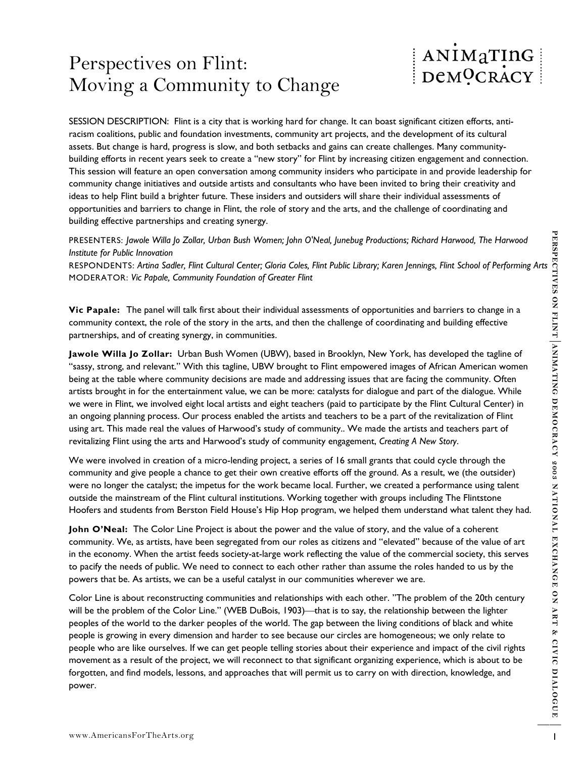## Perspectives on Flint: Moving a Community to Change

## ANIMATING DeMOCRACY

SESSION DESCRIPTION: Flint is a city that is working hard for change. It can boast significant citizen efforts, antiracism coalitions, public and foundation investments, community art projects, and the development of its cultural assets. But change is hard, progress is slow, and both setbacks and gains can create challenges. Many communitybuilding efforts in recent years seek to create a "new story" for Flint by increasing citizen engagement and connection. This session will feature an open conversation among community insiders who participate in and provide leadership for community change initiatives and outside artists and consultants who have been invited to bring their creativity and ideas to help Flint build a brighter future. These insiders and outsiders will share their individual assessments of opportunities and barriers to change in Flint, the role of story and the arts, and the challenge of coordinating and building effective partnerships and creating synergy.

PRESENTERS: *Jawole Willa Jo Zollar, Urban Bush Women; John O'Neal, Junebug Productions; Richard Harwood, The Harwood Institute for Public Innovation* 

MODERATOR: *Vic Papale, Community Foundation of Greater Flint* 

**Vic Papale:** The panel will talk first about their individual assessments of opportunities and barriers to change in a community context, the role of the story in the arts, and then the challenge of coordinating and building effective partnerships, and of creating synergy, in communities.

**PRECENTER S** lower With D Zallar: Union Biall Women; Jelin O'Neal, Janebus Production; Richard Horwest, The Horwest Conceller, Plats.org 1 The Conceller Conceller Society. The Conceller Society Research Conceller Society PRESENTENTS: *Growne Willy 0 Zolett, Urbon Buth Women; John O'Next, Junebay Predictions; Richard Harvesod, The Harvesod<br>RESPONDENTS: Artino Soletic Rlind Coletic Rlind Coles, Flint Public Library; Karen Jennings, Flint Sch* **Jawole Willa Jo Zollar:** Urban Bush Women (UBW), based in Brooklyn, New York, has developed the tagline of "sassy, strong, and relevant." With this tagline, UBW brought to Flint empowered images of African American women being at the table where community decisions are made and addressing issues that are facing the community. Often artists brought in for the entertainment value, we can be more: catalysts for dialogue and part of the dialogue. While we were in Flint, we involved eight local artists and eight teachers (paid to participate by the Flint Cultural Center) in an ongoing planning process. Our process enabled the artists and teachers to be a part of the revitalization of Flint using art. This made real the values of Harwood's study of community.. We made the artists and teachers part of revitalizing Flint using the arts and Harwood's study of community engagement, *Creating A New Story*.

We were involved in creation of a micro-lending project, a series of 16 small grants that could cycle through the community and give people a chance to get their own creative efforts off the ground. As a result, we (the outsider) were no longer the catalyst; the impetus for the work became local. Further, we created a performance using talent outside the mainstream of the Flint cultural institutions. Working together with groups including The Flintstone Hoofers and students from Berston Field House's Hip Hop program, we helped them understand what talent they had.

**John O'Neal:** The Color Line Project is about the power and the value of story, and the value of a coherent community. We, as artists, have been segregated from our roles as citizens and "elevated" because of the value of art in the economy. When the artist feeds society-at-large work reflecting the value of the commercial society, this serves to pacify the needs of public. We need to connect to each other rather than assume the roles handed to us by the powers that be. As artists, we can be a useful catalyst in our communities wherever we are.

Color Line is about reconstructing communities and relationships with each other. "The problem of the 20th century will be the problem of the Color Line." (WEB DuBois, 1903)—that is to say, the relationship between the lighter peoples of the world to the darker peoples of the world. The gap between the living conditions of black and white people is growing in every dimension and harder to see because our circles are homogeneous; we only relate to people who are like ourselves. If we can get people telling stories about their experience and impact of the civil rights movement as a result of the project, we will reconnect to that significant organizing experience, which is about to be forgotten, and find models, lessons, and approaches that will permit us to carry on with direction, knowledge, and power.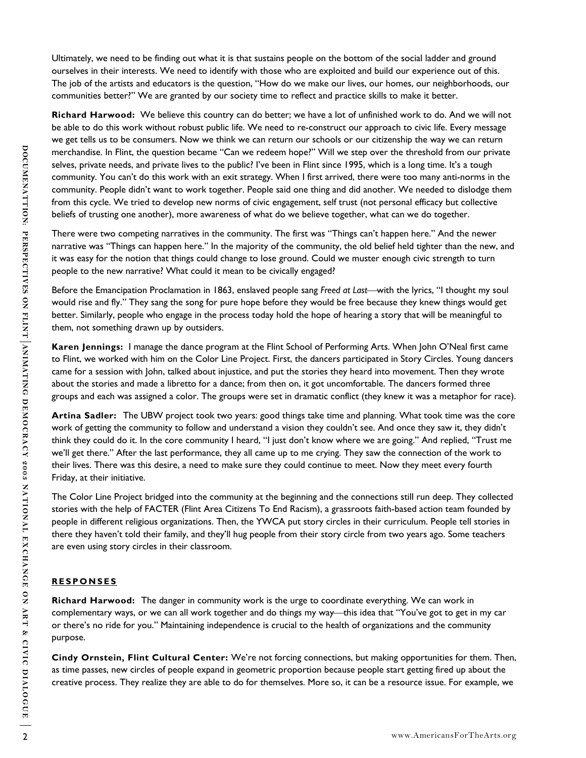Ultimately, we need to be finding out what it is that sustains people on the bottom of the social ladder and ground ourselves in their interests. We need to identify with those who are exploited and build our experience out of this. The job of the artists and educators is the question, "How do we make our lives, our homes, our neighborhoods, our communities better?" We are granted by our society time to reflect and practice skills to make it better.

would in Find, the guestion because "Can we redeve hope" Will be step over the threated from our private the company the company from the company from the company from the company from the company from the company from th **Richard Harwood:** We believe this country can do better; we have a lot of unfinished work to do. And we will not be able to do this work without robust public life. We need to re-construct our approach to civic life. Every message we get tells us to be consumers. Now we think we can return our schools or our citizenship the way we can return merchandise. In Flint, the question became "Can we redeem hope?" Will we step over the threshold from our private selves, private needs, and private lives to the public? I've been in Flint since 1995, which is a long time. It's a tough community. You can't do this work with an exit strategy. When I first arrived, there were too many anti-norms in the community. People didn't want to work together. People said one thing and did another. We needed to dislodge them from this cycle. We tried to develop new norms of civic engagement, self trust (not personal efficacy but collective beliefs of trusting one another), more awareness of what do we believe together, what can we do together.

There were two competing narratives in the community. The first was "Things can't happen here." And the newer narrative was "Things can happen here." In the majority of the community, the old belief held tighter than the new, and it was easy for the notion that things could change to lose ground. Could we muster enough civic strength to turn people to the new narrative? What could it mean to be civically engaged?

Before the Emancipation Proclamation in 1863, enslaved people sang *Freed at Last*—with the lyrics, "I thought my soul would rise and fly." They sang the song for pure hope before they would be free because they knew things would get better. Similarly, people who engage in the process today hold the hope of hearing a story that will be meaningful to them, not something drawn up by outsiders.

**Karen Jennings:** I manage the dance program at the Flint School of Performing Arts. When John O'Neal first came to Flint, we worked with him on the Color Line Project. First, the dancers participated in Story Circles. Young dancers came for a session with John, talked about injustice, and put the stories they heard into movement. Then they wrote about the stories and made a libretto for a dance; from then on, it got uncomfortable. The dancers formed three groups and each was assigned a color. The groups were set in dramatic conflict (they knew it was a metaphor for race).

**Artina Sadler:** The UBW project took two years: good things take time and planning. What took time was the core work of getting the community to follow and understand a vision they couldn't see. And once they saw it, they didn't think they could do it. In the core community I heard, "I just don't know where we are going." And replied, "Trust me we'll get there." After the last performance, they all came up to me crying. They saw the connection of the work to their lives. There was this desire, a need to make sure they could continue to meet. Now they meet every fourth Friday, at their initiative.

The Color Line Project bridged into the community at the beginning and the connections still run deep. They collected stories with the help of FACTER (Flint Area Citizens To End Racism), a grassroots faith-based action team founded by people in different religious organizations. Then, the YWCA put story circles in their curriculum. People tell stories in there they haven't told their family, and they'll hug people from their story circle from two years ago. Some teachers are even using story circles in their classroom.

## **RESPONSES**

**Richard Harwood:** The danger in community work is the urge to coordinate everything. We can work in complementary ways, or we can all work together and do things my way—this idea that "You've got to get in my car or there's no ride for you." Maintaining independence is crucial to the health of organizations and the community purpose.

**Cindy Ornstein, Flint Cultural Center:** We're not forcing connections, but making opportunities for them. Then, as time passes, new circles of people expand in geometric proportion because people start getting fired up about the creative process. They realize they are able to do for themselves. More so, it can be a resource issue. For example, we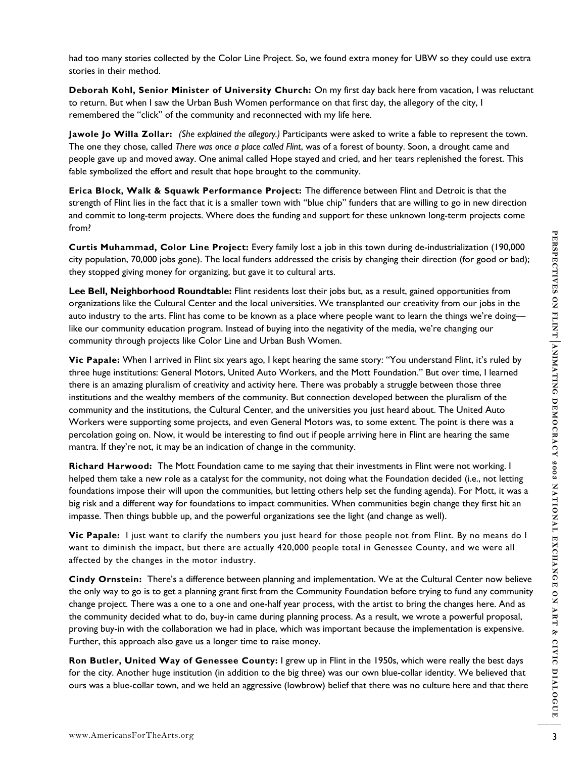had too many stories collected by the Color Line Project. So, we found extra money for UBW so they could use extra stories in their method.

**Deborah Kohl, Senior Minister of University Church:** On my first day back here from vacation, I was reluctant to return. But when I saw the Urban Bush Women performance on that first day, the allegory of the city, I remembered the "click" of the community and reconnected with my life here.

**Jawole Jo Willa Zollar:** *(She explained the allegory.)* Participants were asked to write a fable to represent the town. The one they chose, called *There was once a place called Flint*, was of a forest of bounty. Soon, a drought came and people gave up and moved away. One animal called Hope stayed and cried, and her tears replenished the forest. This fable symbolized the effort and result that hope brought to the community.

**Erica Block, Walk & Squawk Performance Project:** The difference between Flint and Detroit is that the strength of Flint lies in the fact that it is a smaller town with "blue chip" funders that are willing to go in new direction and commit to long-term projects. Where does the funding and support for these unknown long-term projects come from?

**Curtis Muhammad, Color Line Project:** Every family lost a job in this town during de-industrialization (190,000 city population, 70,000 jobs gone). The local funders addressed the crisis by changing their direction (for good or bad); they stopped giving money for organizing, but gave it to cultural arts.

**Lee Bell, Neighborhood Roundtable:** Flint residents lost their jobs but, as a result, gained opportunities from organizations like the Cultural Center and the local universities. We transplanted our creativity from our jobs in the auto industry to the arts. Flint has come to be known as a place where people want to learn the things we're doing like our community education program. Instead of buying into the negativity of the media, we're changing our community through projects like Color Line and Urban Bush Women.

Curris Muhammad, Color Line Projects Every family lost a join duis town during de-industrialization (190.000)<br>
etic position, 70000) (absolved Roundaria Mores is doterated the critis by changes their direction (for good of **Vic Papale:** When I arrived in Flint six years ago, I kept hearing the same story: "You understand Flint, it's ruled by three huge institutions: General Motors, United Auto Workers, and the Mott Foundation." But over time, I learned there is an amazing pluralism of creativity and activity here. There was probably a struggle between those three institutions and the wealthy members of the community. But connection developed between the pluralism of the community and the institutions, the Cultural Center, and the universities you just heard about. The United Auto Workers were supporting some projects, and even General Motors was, to some extent. The point is there was a percolation going on. Now, it would be interesting to find out if people arriving here in Flint are hearing the same mantra. If they're not, it may be an indication of change in the community.

**Richard Harwood:** The Mott Foundation came to me saying that their investments in Flint were not working. I helped them take a new role as a catalyst for the community, not doing what the Foundation decided (i.e., not letting foundations impose their will upon the communities, but letting others help set the funding agenda). For Mott, it was a big risk and a different way for foundations to impact communities. When communities begin change they first hit an impasse. Then things bubble up, and the powerful organizations see the light (and change as well).

**Vic Papale:** I just want to clarify the numbers you just heard for those people not from Flint. By no means do I want to diminish the impact, but there are actually 420,000 people total in Genessee County, and we were all affected by the changes in the motor industry.

**Cindy Ornstein:** There's a difference between planning and implementation. We at the Cultural Center now believe the only way to go is to get a planning grant first from the Community Foundation before trying to fund any community change project. There was a one to a one and one-half year process, with the artist to bring the changes here. And as the community decided what to do, buy-in came during planning process. As a result, we wrote a powerful proposal, proving buy-in with the collaboration we had in place, which was important because the implementation is expensive. Further, this approach also gave us a longer time to raise money.

**Ron Butler, United Way of Genessee County:** I grew up in Flint in the 1950s, which were really the best days for the city. Another huge institution (in addition to the big three) was our own blue-collar identity. We believed that ours was a blue-collar town, and we held an aggressive (lowbrow) belief that there was no culture here and that there